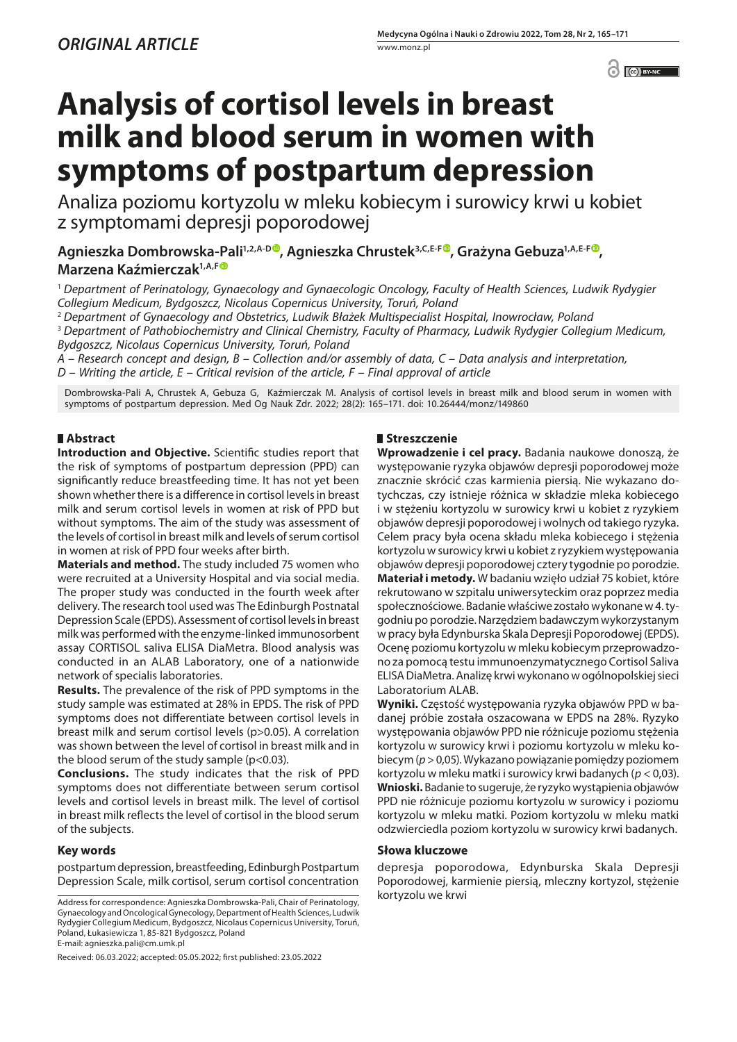$\odot$   $\odot$  BY-NC

# **Analysis of cortisol levels in breast milk and blood serum in women with symptoms of postpartum depression**

Analiza poziomu kortyzolu w mleku kobiecym i surowicy krwi u kobiet z symptomami depresji poporodowej

Agnieszka Dombrowska-Pali<sup>1[,](https://orcid.org/0000-0001-9743-4267)2,A-D</sup>, Agnieszka Chrustek<sup>3,C,E-F</sup>, Grażyna Gebuza<sup>1,A,E-F</sup>, **Marzena Kaźmierczak1,A,F**

<sup>1</sup> *Department of Perinatology, Gynaecology and Gynaecologic Oncology, Faculty of Health Sciences, Ludwik Rydygier Collegium Medicum, Bydgoszcz, Nicolaus Copernicus University, Toruń, Poland*

<sup>2</sup> *Department of Gynaecology and Obstetrics, Ludwik Błażek Multispecialist Hospital, Inowrocław, Poland*

<sup>3</sup> *Department of Pathobiochemistry and Clinical Chemistry, Faculty of Pharmacy, Ludwik Rydygier Collegium Medicum, Bydgoszcz, Nicolaus Copernicus University, Toruń, Poland*

*A – Research concept and design, B – Collection and/or assembly of data, C – Data analysis and interpretation,* 

*D – Writing the article, E – Critical revision of the article, F – Final approval of article*

Dombrowska-Pali A, Chrustek A, Gebuza G, Kaźmierczak M. Analysis of cortisol levels in breast milk and blood serum in women with symptoms of postpartum depression. Med Og Nauk Zdr. 2022; 28(2): 165–171. doi: 10.26444/monz/149860

## **Abstract**

**Introduction and Objective.** Scientific studies report that the risk of symptoms of postpartum depression (PPD) can significantly reduce breastfeeding time. It has not yet been shown whether there is a difference in cortisol levels in breast milk and serum cortisol levels in women at risk of PPD but without symptoms. The aim of the study was assessment of the levels of cortisol in breast milk and levels of serum cortisol in women at risk of PPD four weeks after birth.

**Materials and method.** The study included 75 women who were recruited at a University Hospital and via social media. The proper study was conducted in the fourth week after delivery. The research tool used was The Edinburgh Postnatal Depression Scale (EPDS). Assessment of cortisol levels in breast milk was performed with the enzyme-linked immunosorbent assay CORTISOL saliva ELISA DiaMetra. Blood analysis was conducted in an ALAB Laboratory, one of a nationwide network of specialis laboratories.

**Results.** The prevalence of the risk of PPD symptoms in the study sample was estimated at 28% in EPDS. The risk of PPD symptoms does not differentiate between cortisol levels in breast milk and serum cortisol levels (p>0.05). A correlation was shown between the level of cortisol in breast milk and in the blood serum of the study sample (p<0.03).

**Conclusions.** The study indicates that the risk of PPD symptoms does not differentiate between serum cortisol levels and cortisol levels in breast milk. The level of cortisol in breast milk reflects the level of cortisol in the blood serum of the subjects.

## **Key words**

postpartum depression, breastfeeding, Edinburgh Postpartum Depression Scale, milk cortisol, serum cortisol concentration

Address for correspondence: Agnieszka Dombrowska-Pali, Chair of Perinatology, kortyzolu we krwi Gynaecology and Oncological Gynecology, Department of Health Sciences, Ludwik Rydygier Collegium Medicum, Bydgoszcz, Nicolaus Copernicus University, Toruń, Poland, Łukasiewicza 1, 85-821 Bydgoszcz, Poland E-mail: agnieszka.pali@cm.umk.pl

Received: 06.03.2022; accepted: 05.05.2022; first published: 23.05.2022

# **Streszczenie**

**Wprowadzenie i cel pracy.** Badania naukowe donoszą, że występowanie ryzyka objawów depresji poporodowej może znacznie skrócić czas karmienia piersią. Nie wykazano dotychczas, czy istnieje różnica w składzie mleka kobiecego i w stężeniu kortyzolu w surowicy krwi u kobiet z ryzykiem objawów depresji poporodowej i wolnych od takiego ryzyka. Celem pracy była ocena składu mleka kobiecego i stężenia kortyzolu w surowicy krwi u kobiet z ryzykiem występowania objawów depresji poporodowej cztery tygodnie po porodzie. **Materiał i metody.** W badaniu wzięło udział 75 kobiet, które rekrutowano w szpitalu uniwersyteckim oraz poprzez media społecznościowe. Badanie właściwe zostało wykonane w 4. tygodniu po porodzie. Narzędziem badawczym wykorzystanym w pracy była Edynburska Skala Depresji Poporodowej (EPDS). Ocenę poziomu kortyzolu w mleku kobiecym przeprowadzono za pomocą testu immunoenzymatycznego Cortisol Saliva ELISA DiaMetra. Analizę krwi wykonano w ogólnopolskiej sieci Laboratorium ALAB.

**Wyniki.** Częstość występowania ryzyka objawów PPD w badanej próbie została oszacowana w EPDS na 28%. Ryzyko występowania objawów PPD nie różnicuje poziomu stężenia kortyzolu w surowicy krwi i poziomu kortyzolu w mleku kobiecym (*p* > 0,05). Wykazano powiązanie pomiędzy poziomem kortyzolu w mleku matki i surowicy krwi badanych (*p* < 0,03). **Wnioski.** Badanie to sugeruje, że ryzyko wystąpienia objawów PPD nie różnicuje poziomu kortyzolu w surowicy i poziomu kortyzolu w mleku matki. Poziom kortyzolu w mleku matki odzwierciedla poziom kortyzolu w surowicy krwi badanych.

## **Słowa kluczowe**

depresja poporodowa, Edynburska Skala Depresji Poporodowej, karmienie piersią, mleczny kortyzol, stężenie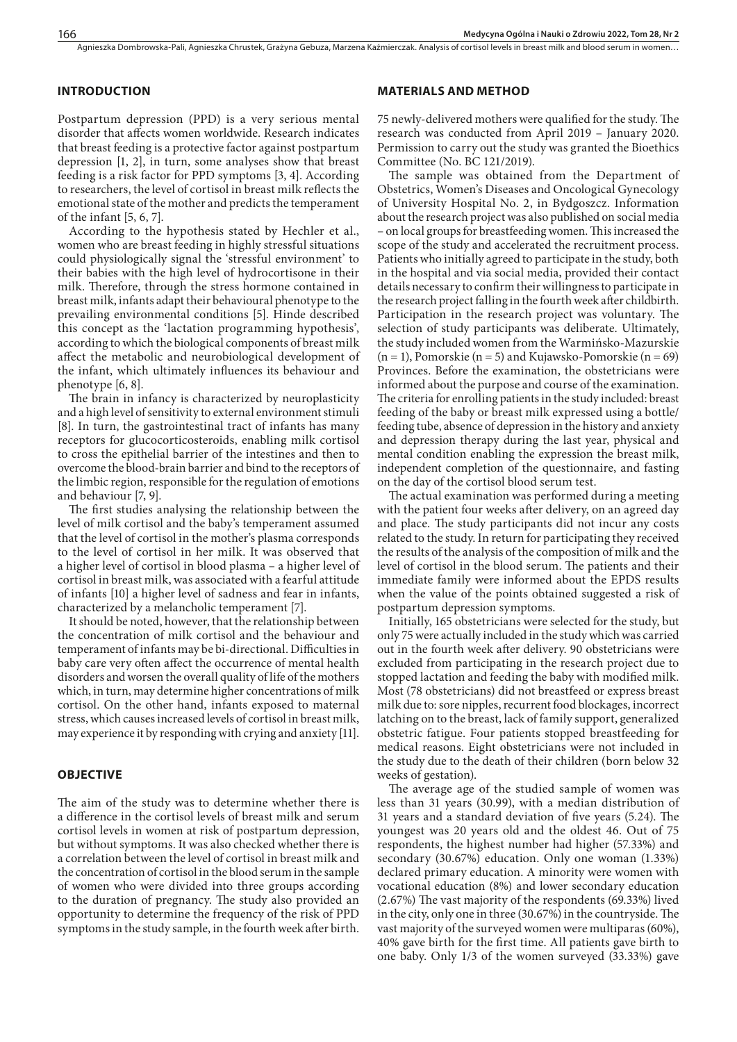### **INTRODUCTION**

Postpartum depression (PPD) is a very serious mental disorder that affects women worldwide. Research indicates that breast feeding is a protective factor against postpartum depression [1, 2], in turn, some analyses show that breast feeding is a risk factor for PPD symptoms [3, 4]. According to researchers, the level of cortisol in breast milk reflects the emotional state of the mother and predicts the temperament of the infant [5, 6, 7].

According to the hypothesis stated by Hechler et al., women who are breast feeding in highly stressful situations could physiologically signal the 'stressful environment' to their babies with the high level of hydrocortisone in their milk. Therefore, through the stress hormone contained in breast milk, infants adapt their behavioural phenotype to the prevailing environmental conditions [5]. Hinde described this concept as the 'lactation programming hypothesis', according to which the biological components of breast milk affect the metabolic and neurobiological development of the infant, which ultimately influences its behaviour and phenotype [6, 8].

The brain in infancy is characterized by neuroplasticity and a high level of sensitivity to external environment stimuli [8]. In turn, the gastrointestinal tract of infants has many receptors for glucocorticosteroids, enabling milk cortisol to cross the epithelial barrier of the intestines and then to overcome the blood-brain barrier and bind to the receptors of the limbic region, responsible for the regulation of emotions and behaviour [7, 9].

The first studies analysing the relationship between the level of milk cortisol and the baby's temperament assumed that the level of cortisol in the mother's plasma corresponds to the level of cortisol in her milk. It was observed that a higher level of cortisol in blood plasma – a higher level of cortisol in breast milk, was associated with a fearful attitude of infants [10] a higher level of sadness and fear in infants, characterized by a melancholic temperament [7].

It should be noted, however, that the relationship between the concentration of milk cortisol and the behaviour and temperament of infants may be bi-directional. Difficulties in baby care very often affect the occurrence of mental health disorders and worsen the overall quality of life of the mothers which, in turn, may determine higher concentrations of milk cortisol. On the other hand, infants exposed to maternal stress, which causes increased levels of cortisol in breast milk, may experience it by responding with crying and anxiety [11].

## **OBJECTIVE**

The aim of the study was to determine whether there is a difference in the cortisol levels of breast milk and serum cortisol levels in women at risk of postpartum depression, but without symptoms. It was also checked whether there is a correlation between the level of cortisol in breast milk and the concentration of cortisol in the blood serum in the sample of women who were divided into three groups according to the duration of pregnancy. The study also provided an opportunity to determine the frequency of the risk of PPD symptoms in the study sample, in the fourth week after birth.

#### **MATERIALS AND METHOD**

75 newly-delivered mothers were qualified for the study. The research was conducted from April 2019 – January 2020. Permission to carry out the study was granted the Bioethics Committee (No. BC 121/2019).

The sample was obtained from the Department of Obstetrics, Women's Diseases and Oncological Gynecology of University Hospital No. 2, in Bydgoszcz. Information about the research project was also published on social media – on local groups for breastfeeding women. This increased the scope of the study and accelerated the recruitment process. Patients who initially agreed to participate in the study, both in the hospital and via social media, provided their contact details necessary to confirm their willingness to participate in the research project falling in the fourth week after childbirth. Participation in the research project was voluntary. The selection of study participants was deliberate. Ultimately, the study included women from the Warmińsko-Mazurskie  $(n = 1)$ , Pomorskie  $(n = 5)$  and Kujawsko-Pomorskie  $(n = 69)$ Provinces. Before the examination, the obstetricians were informed about the purpose and course of the examination. The criteria for enrolling patients in the study included: breast feeding of the baby or breast milk expressed using a bottle/ feeding tube, absence of depression in the history and anxiety and depression therapy during the last year, physical and mental condition enabling the expression the breast milk, independent completion of the questionnaire, and fasting on the day of the cortisol blood serum test.

The actual examination was performed during a meeting with the patient four weeks after delivery, on an agreed day and place. The study participants did not incur any costs related to the study. In return for participating they received the results of the analysis of the composition of milk and the level of cortisol in the blood serum. The patients and their immediate family were informed about the EPDS results when the value of the points obtained suggested a risk of postpartum depression symptoms.

Initially, 165 obstetricians were selected for the study, but only 75 were actually included in the study which was carried out in the fourth week after delivery. 90 obstetricians were excluded from participating in the research project due to stopped lactation and feeding the baby with modified milk. Most (78 obstetricians) did not breastfeed or express breast milk due to: sore nipples, recurrent food blockages, incorrect latching on to the breast, lack of family support, generalized obstetric fatigue. Four patients stopped breastfeeding for medical reasons. Eight obstetricians were not included in the study due to the death of their children (born below 32 weeks of gestation).

The average age of the studied sample of women was less than 31 years (30.99), with a median distribution of 31 years and a standard deviation of five years (5.24). The youngest was 20 years old and the oldest 46. Out of 75 respondents, the highest number had higher (57.33%) and secondary (30.67%) education. Only one woman (1.33%) declared primary education. A minority were women with vocational education (8%) and lower secondary education (2.67%) The vast majority of the respondents (69.33%) lived in the city, only one in three (30.67%) in the countryside. The vast majority of the surveyed women were multiparas (60%), 40% gave birth for the first time. All patients gave birth to one baby. Only 1/3 of the women surveyed (33.33%) gave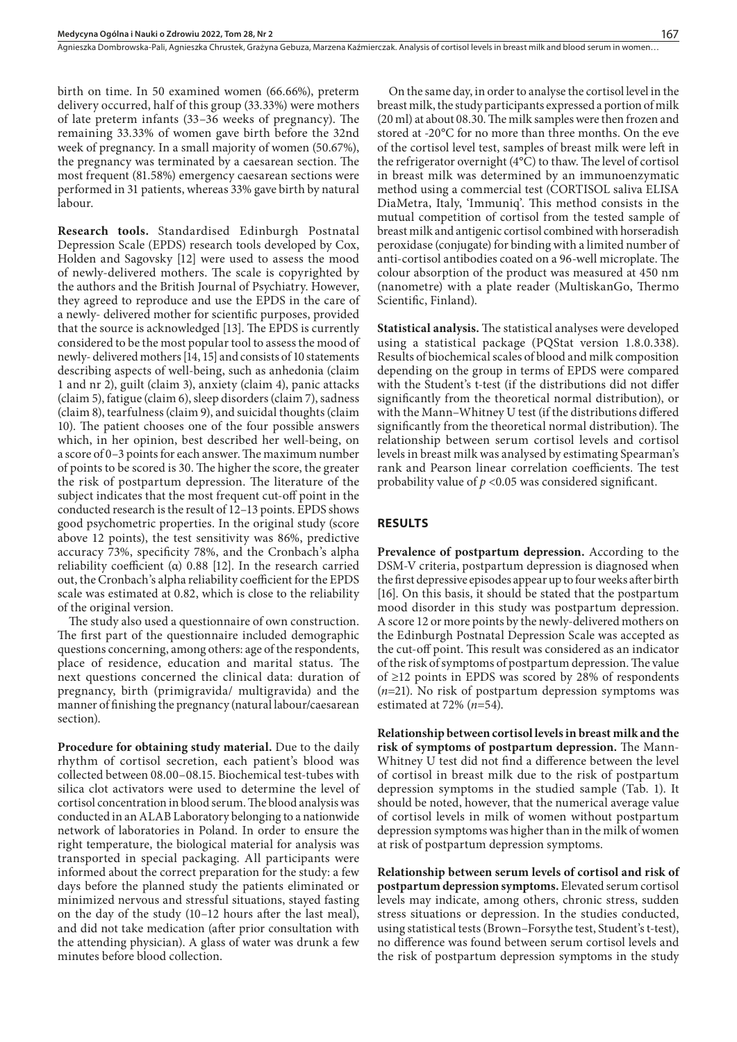Agnieszka Dombrowska-Pali, Agnieszka Chrustek, Grażyna Gebuza, Marzena Kaźmierczak. Analysis of cortisol levels in breast milk and blood serum in women..

birth on time. In 50 examined women (66.66%), preterm delivery occurred, half of this group (33.33%) were mothers of late preterm infants (33–36 weeks of pregnancy). The remaining 33.33% of women gave birth before the 32nd week of pregnancy. In a small majority of women (50.67%), the pregnancy was terminated by a caesarean section. The most frequent (81.58%) emergency caesarean sections were performed in 31 patients, whereas 33% gave birth by natural labour.

**Research tools.** Standardised Edinburgh Postnatal Depression Scale (EPDS) research tools developed by Cox, Holden and Sagovsky [12] were used to assess the mood of newly-delivered mothers. The scale is copyrighted by the authors and the British Journal of Psychiatry. However, they agreed to reproduce and use the EPDS in the care of a newly- delivered mother for scientific purposes, provided that the source is acknowledged [13]. The EPDS is currently considered to be the most popular tool to assess the mood of newly- delivered mothers [14, 15] and consists of 10 statements describing aspects of well-being, such as anhedonia (claim 1 and nr 2), guilt (claim 3), anxiety (claim 4), panic attacks (claim 5), fatigue (claim 6), sleep disorders (claim 7), sadness (claim 8), tearfulness (claim 9), and suicidal thoughts (claim 10). The patient chooses one of the four possible answers which, in her opinion, best described her well-being, on a score of 0–3 points for each answer. The maximum number of points to be scored is 30. The higher the score, the greater the risk of postpartum depression. The literature of the subject indicates that the most frequent cut-off point in the conducted research is the result of 12–13 points. EPDS shows good psychometric properties. In the original study (score above 12 points), the test sensitivity was 86%, predictive accuracy 73%, specificity 78%, and the Cronbach's alpha reliability coefficient (α) 0.88 [12]. In the research carried out, the Cronbach's alpha reliability coefficient for the EPDS scale was estimated at 0.82, which is close to the reliability of the original version.

The study also used a questionnaire of own construction. The first part of the questionnaire included demographic questions concerning, among others: age of the respondents, place of residence, education and marital status. The next questions concerned the clinical data: duration of pregnancy, birth (primigravida/ multigravida) and the manner of finishing the pregnancy (natural labour/caesarean section).

**Procedure for obtaining study material.** Due to the daily rhythm of cortisol secretion, each patient's blood was collected between 08.00–08.15. Biochemical test-tubes with silica clot activators were used to determine the level of cortisol concentration in blood serum. The blood analysis was conducted in an ALAB Laboratory belonging to a nationwide network of laboratories in Poland. In order to ensure the right temperature, the biological material for analysis was transported in special packaging. All participants were informed about the correct preparation for the study: a few days before the planned study the patients eliminated or minimized nervous and stressful situations, stayed fasting on the day of the study (10–12 hours after the last meal), and did not take medication (after prior consultation with the attending physician). A glass of water was drunk a few minutes before blood collection.

On the same day, in order to analyse the cortisol level in the breast milk, the study participants expressed a portion of milk (20 ml) at about 08.30. The milk samples were then frozen and stored at -20°C for no more than three months. On the eve of the cortisol level test, samples of breast milk were left in the refrigerator overnight (4°C) to thaw. The level of cortisol in breast milk was determined by an immunoenzymatic method using a commercial test (CORTISOL saliva ELISA DiaMetra, Italy, 'Immuniq'. This method consists in the mutual competition of cortisol from the tested sample of breast milk and antigenic cortisol combined with horseradish peroxidase (conjugate) for binding with a limited number of anti-cortisol antibodies coated on a 96-well microplate. The colour absorption of the product was measured at 450 nm (nanometre) with a plate reader (MultiskanGo, Thermo Scientific, Finland).

**Statistical analysis.** The statistical analyses were developed using a statistical package (PQStat version 1.8.0.338). Results of biochemical scales of blood and milk composition depending on the group in terms of EPDS were compared with the Student's t-test (if the distributions did not differ significantly from the theoretical normal distribution), or with the Mann–Whitney U test (if the distributions differed significantly from the theoretical normal distribution). The relationship between serum cortisol levels and cortisol levels in breast milk was analysed by estimating Spearman's rank and Pearson linear correlation coefficients. The test probability value of *p* <0.05 was considered significant.

#### **RESULTS**

**Prevalence of postpartum depression.** According to the DSM-V criteria, postpartum depression is diagnosed when the first depressive episodes appear up to four weeks after birth [16]. On this basis, it should be stated that the postpartum mood disorder in this study was postpartum depression. A score 12 or more points by the newly-delivered mothers on the Edinburgh Postnatal Depression Scale was accepted as the cut-off point. This result was considered as an indicator of the risk of symptoms of postpartum depression. The value of ≥12 points in EPDS was scored by 28% of respondents (*n*=21). No risk of postpartum depression symptoms was estimated at 72% (*n*=54).

**Relationship between cortisol levels in breast milk and the risk of symptoms of postpartum depression.** The Mann-Whitney U test did not find a difference between the level of cortisol in breast milk due to the risk of postpartum depression symptoms in the studied sample (Tab. 1). It should be noted, however, that the numerical average value of cortisol levels in milk of women without postpartum depression symptoms was higher than in the milk of women at risk of postpartum depression symptoms.

**Relationship between serum levels of cortisol and risk of postpartum depression symptoms.** Elevated serum cortisol levels may indicate, among others, chronic stress, sudden stress situations or depression. In the studies conducted, using statistical tests (Brown–Forsythe test, Student's t-test), no difference was found between serum cortisol levels and the risk of postpartum depression symptoms in the study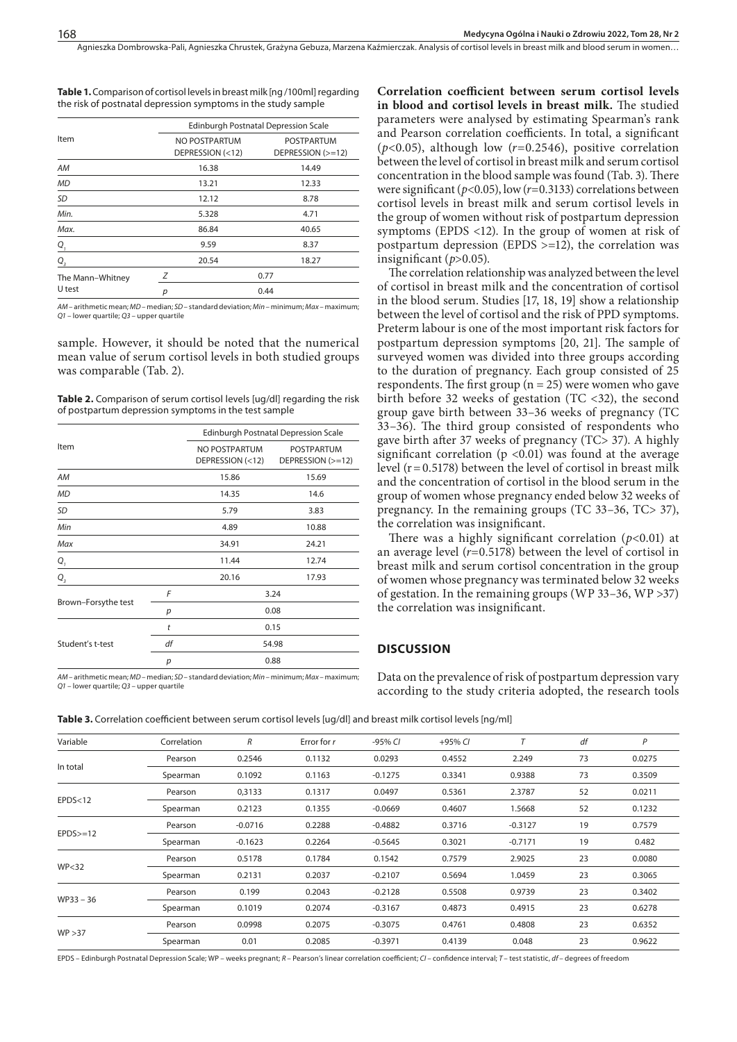Agnieszka Dombrowska-Pali, Agnieszka Chrustek, Grażyna Gebuza, Marzena Kaźmierczak . Analysis of cortisol levels in breast milk and blood serum in women…

| <b>Table 1.</b> Comparison of cortisol levels in breast milk [ng/100ml] regarding |  |  |
|-----------------------------------------------------------------------------------|--|--|
| the risk of postnatal depression symptoms in the study sample                     |  |  |

|                            | Edinburgh Postnatal Depression Scale |                                   |                                        |  |  |
|----------------------------|--------------------------------------|-----------------------------------|----------------------------------------|--|--|
| Item                       |                                      | NO POSTPARTUM<br>DEPRESSION (<12) | <b>POSTPARTUM</b><br>DEPRESSION (>=12) |  |  |
| AM                         |                                      | 16.38                             | 14.49                                  |  |  |
| <b>MD</b>                  |                                      | 13.21                             | 12.33                                  |  |  |
| SD                         |                                      | 12.12                             | 8.78                                   |  |  |
| Min.                       |                                      | 5.328                             | 4.71                                   |  |  |
| Max.                       |                                      | 86.84                             | 40.65                                  |  |  |
| Q,                         |                                      | 9.59                              | 8.37                                   |  |  |
| $Q_{\overline{3}}$         |                                      | 20.54                             | 18.27                                  |  |  |
| The Mann-Whitney<br>U test | Ζ                                    | 0.77                              |                                        |  |  |
|                            | р                                    |                                   | 0.44                                   |  |  |

*AM –* arithmetic mean; *MD –* median; *SD –* standard deviation; *Min –* minimum; *Max –* maximum; *Q1 –* lower quartile; *Q3 –* upper quartile

sample. However, it should be noted that the numerical mean value of serum cortisol levels in both studied groups was comparable (Tab. 2).

Table 2. Comparison of serum cortisol levels [ug/dl] regarding the risk of postpartum depression symptoms in the test sample

|                     |    | Edinburgh Postnatal Depression Scale |                                        |  |  |
|---------------------|----|--------------------------------------|----------------------------------------|--|--|
| Item                |    | NO POSTPARTUM<br>DEPRESSION (<12)    | <b>POSTPARTUM</b><br>DEPRESSION (>=12) |  |  |
| AM                  |    | 15.86                                | 15.69                                  |  |  |
| <b>MD</b>           |    | 14.35                                | 14.6                                   |  |  |
| SD                  |    | 5.79                                 | 3.83                                   |  |  |
| Min                 |    | 4.89                                 | 10.88                                  |  |  |
| Max                 |    | 34.91                                | 24.21                                  |  |  |
| Q,                  |    | 11.44                                | 12.74                                  |  |  |
| $Q_{\frac{3}{2}}$   |    | 20.16                                | 17.93                                  |  |  |
| Brown-Forsythe test | F  |                                      | 3.24                                   |  |  |
|                     | р  |                                      | 0.08                                   |  |  |
| Student's t-test    | t  | 0.15                                 |                                        |  |  |
|                     | df |                                      | 54.98                                  |  |  |
|                     | p  |                                      | 0.88                                   |  |  |

*AM –* arithmetic mean; *MD –* median; *SD –* standard deviation; *Min –* minimum; *Max –* maximum; *Q1 –* lower quartile; *Q3 –* upper quartile

**Correlation coefficient between serum cortisol levels in blood and cortisol levels in breast milk.** The studied parameters were analysed by estimating Spearman's rank and Pearson correlation coefficients. In total, a significant (*p*<0.05), although low (*r*=0.2546), positive correlation between the level of cortisol in breast milk and serum cortisol concentration in the blood sample was found (Tab. 3). There were significant (*p*<0.05), low (*r*=0.3133) correlations between cortisol levels in breast milk and serum cortisol levels in the group of women without risk of postpartum depression symptoms (EPDS <12). In the group of women at risk of postpartum depression (EPDS >=12), the correlation was insignificant ( $p > 0.05$ ).

The correlation relationship was analyzed between the level of cortisol in breast milk and the concentration of cortisol in the blood serum. Studies [17, 18, 19] show a relationship between the level of cortisol and the risk of PPD symptoms. Preterm labour is one of the most important risk factors for postpartum depression symptoms [20, 21]. The sample of surveyed women was divided into three groups according to the duration of pregnancy. Each group consisted of 25 respondents. The first group ( $n = 25$ ) were women who gave birth before 32 weeks of gestation (TC  $<32$ ), the second group gave birth between 33–36 weeks of pregnancy (TC 33–36). The third group consisted of respondents who gave birth after 37 weeks of pregnancy (TC> 37). A highly significant correlation ( $p \le 0.01$ ) was found at the average level  $(r=0.5178)$  between the level of cortisol in breast milk and the concentration of cortisol in the blood serum in the group of women whose pregnancy ended below 32 weeks of pregnancy. In the remaining groups (TC 33–36, TC> 37), the correlation was insignificant.

There was a highly significant correlation (*p*<0.01) at an average level (*r*=0.5178) between the level of cortisol in breast milk and serum cortisol concentration in the group of women whose pregnancy was terminated below 32 weeks of gestation. In the remaining groups (WP 33–36, WP >37) the correlation was insignificant.

#### **DISCUSSION**

Data on the prevalence of risk of postpartum depression vary according to the study criteria adopted, the research tools

**Table 3.** Correlation coefficient between serum cortisol levels [ug/dl] and breast milk cortisol levels [ng/ml]

| Variable   | Correlation | R         | Error for r | $-95%$ CI | $+95%$ CI | $\tau$    | df | P      |
|------------|-------------|-----------|-------------|-----------|-----------|-----------|----|--------|
| In total   | Pearson     | 0.2546    | 0.1132      | 0.0293    | 0.4552    | 2.249     | 73 | 0.0275 |
|            | Spearman    | 0.1092    | 0.1163      | $-0.1275$ | 0.3341    | 0.9388    | 73 | 0.3509 |
| EPDS < 12  | Pearson     | 0,3133    | 0.1317      | 0.0497    | 0.5361    | 2.3787    | 52 | 0.0211 |
|            | Spearman    | 0.2123    | 0.1355      | $-0.0669$ | 0.4607    | 1.5668    | 52 | 0.1232 |
| $EPDS>=12$ | Pearson     | $-0.0716$ | 0.2288      | $-0.4882$ | 0.3716    | $-0.3127$ | 19 | 0.7579 |
|            | Spearman    | $-0.1623$ | 0.2264      | $-0.5645$ | 0.3021    | $-0.7171$ | 19 | 0.482  |
| WP<32      | Pearson     | 0.5178    | 0.1784      | 0.1542    | 0.7579    | 2.9025    | 23 | 0.0080 |
|            | Spearman    | 0.2131    | 0.2037      | $-0.2107$ | 0.5694    | 1.0459    | 23 | 0.3065 |
| WP33-36    | Pearson     | 0.199     | 0.2043      | $-0.2128$ | 0.5508    | 0.9739    | 23 | 0.3402 |
|            | Spearman    | 0.1019    | 0.2074      | $-0.3167$ | 0.4873    | 0.4915    | 23 | 0.6278 |
| WP > 37    | Pearson     | 0.0998    | 0.2075      | $-0.3075$ | 0.4761    | 0.4808    | 23 | 0.6352 |
|            | Spearman    | 0.01      | 0.2085      | $-0.3971$ | 0.4139    | 0.048     | 23 | 0.9622 |

EPDS – Edinburgh Postnatal Depression Scale; WP – weeks pregnant; *R –* Pearson's linear correlation coefficient; *CI –* confidence interval; *T –* test statistic, *df –* degrees of freedom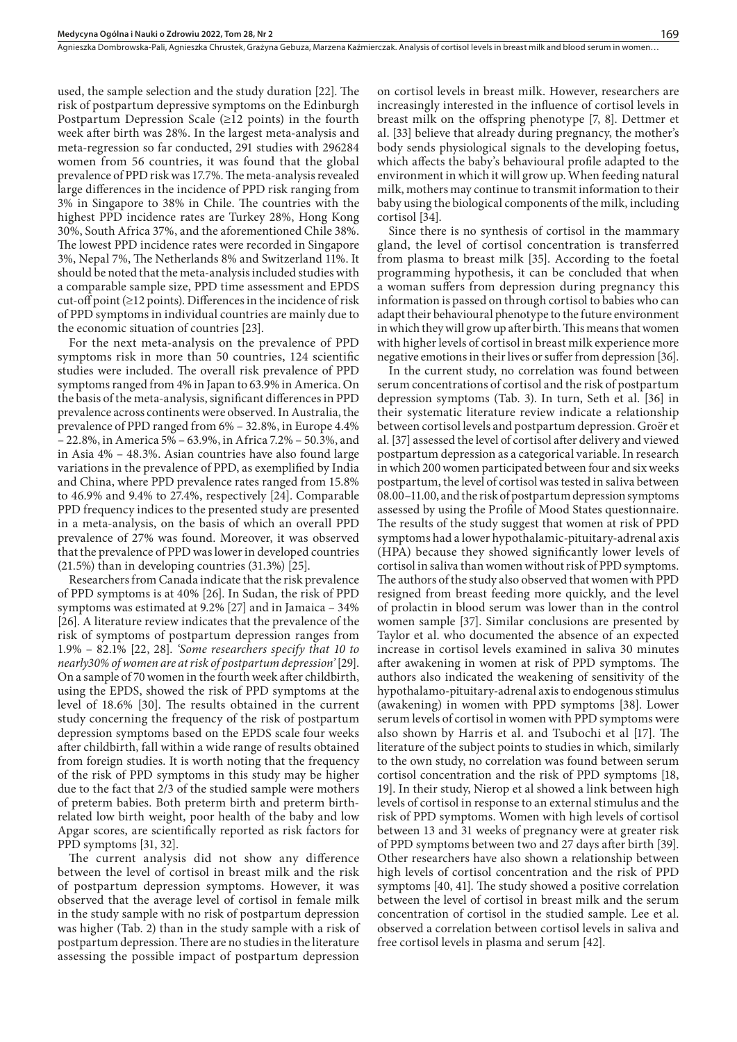used, the sample selection and the study duration [22]. The risk of postpartum depressive symptoms on the Edinburgh Postpartum Depression Scale  $(\geq 12 \text{ points})$  in the fourth week after birth was 28%. In the largest meta-analysis and meta-regression so far conducted, 291 studies with 296284 women from 56 countries, it was found that the global prevalence of PPD risk was 17.7%. The meta-analysis revealed large differences in the incidence of PPD risk ranging from 3% in Singapore to 38% in Chile. The countries with the highest PPD incidence rates are Turkey 28%, Hong Kong 30%, South Africa 37%, and the aforementioned Chile 38%. The lowest PPD incidence rates were recorded in Singapore 3%, Nepal 7%, The Netherlands 8% and Switzerland 11%. It should be noted that the meta-analysis included studies with a comparable sample size, PPD time assessment and EPDS cut-off point (≥12 points). Differences in the incidence of risk of PPD symptoms in individual countries are mainly due to the economic situation of countries [23].

For the next meta-analysis on the prevalence of PPD symptoms risk in more than 50 countries, 124 scientific studies were included. The overall risk prevalence of PPD symptoms ranged from 4% in Japan to 63.9% in America. On the basis of the meta-analysis, significant differences in PPD prevalence across continents were observed. In Australia, the prevalence of PPD ranged from 6% – 32.8%, in Europe 4.4% – 22.8%, in America 5% – 63.9%, in Africa 7.2% – 50.3%, and in Asia 4% – 48.3%. Asian countries have also found large variations in the prevalence of PPD, as exemplified by India and China, where PPD prevalence rates ranged from 15.8% to 46.9% and 9.4% to 27.4%, respectively [24]. Comparable PPD frequency indices to the presented study are presented in a meta-analysis, on the basis of which an overall PPD prevalence of 27% was found. Moreover, it was observed that the prevalence of PPD was lower in developed countries (21.5%) than in developing countries (31.3%) [25].

Researchers from Canada indicate that the risk prevalence of PPD symptoms is at 40% [26]. In Sudan, the risk of PPD symptoms was estimated at 9.2% [27] and in Jamaica – 34% [26]. A literature review indicates that the prevalence of the risk of symptoms of postpartum depression ranges from 1.9% – 82.1% [22, 28]. *'Some researchers specify that 10 to nearly30% of women are at risk of postpartum depression'* [29]. On a sample of 70 women in the fourth week after childbirth, using the EPDS, showed the risk of PPD symptoms at the level of 18.6% [30]. The results obtained in the current study concerning the frequency of the risk of postpartum depression symptoms based on the EPDS scale four weeks after childbirth, fall within a wide range of results obtained from foreign studies. It is worth noting that the frequency of the risk of PPD symptoms in this study may be higher due to the fact that 2/3 of the studied sample were mothers of preterm babies. Both preterm birth and preterm birthrelated low birth weight, poor health of the baby and low Apgar scores, are scientifically reported as risk factors for PPD symptoms [31, 32].

The current analysis did not show any difference between the level of cortisol in breast milk and the risk of postpartum depression symptoms. However, it was observed that the average level of cortisol in female milk in the study sample with no risk of postpartum depression was higher (Tab. 2) than in the study sample with a risk of postpartum depression. There are no studies in the literature assessing the possible impact of postpartum depression

on cortisol levels in breast milk. However, researchers are increasingly interested in the influence of cortisol levels in breast milk on the offspring phenotype [7, 8]. Dettmer et al. [33] believe that already during pregnancy, the mother's body sends physiological signals to the developing foetus, which affects the baby's behavioural profile adapted to the environment in which it will grow up. When feeding natural milk, mothers may continue to transmit information to their baby using the biological components of the milk, including cortisol [34].

Since there is no synthesis of cortisol in the mammary gland, the level of cortisol concentration is transferred from plasma to breast milk [35]. According to the foetal programming hypothesis, it can be concluded that when a woman suffers from depression during pregnancy this information is passed on through cortisol to babies who can adapt their behavioural phenotype to the future environment in which they will grow up after birth. This means that women with higher levels of cortisol in breast milk experience more negative emotions in their lives or suffer from depression [36].

In the current study, no correlation was found between serum concentrations of cortisol and the risk of postpartum depression symptoms (Tab. 3). In turn, Seth et al. [36] in their systematic literature review indicate a relationship between cortisol levels and postpartum depression. Groër et al. [37] assessed the level of cortisol after delivery and viewed postpartum depression as a categorical variable. In research in which 200 women participated between four and six weeks postpartum, the level of cortisol was tested in saliva between 08.00–11.00, and the risk of postpartum depression symptoms assessed by using the Profile of Mood States questionnaire. The results of the study suggest that women at risk of PPD symptoms had a lower hypothalamic-pituitary-adrenal axis (HPA) because they showed significantly lower levels of cortisol in saliva than women without risk of PPD symptoms. The authors of the study also observed that women with PPD resigned from breast feeding more quickly, and the level of prolactin in blood serum was lower than in the control women sample [37]. Similar conclusions are presented by Taylor et al. who documented the absence of an expected increase in cortisol levels examined in saliva 30 minutes after awakening in women at risk of PPD symptoms. The authors also indicated the weakening of sensitivity of the hypothalamo-pituitary-adrenal axis to endogenous stimulus (awakening) in women with PPD symptoms [38]. Lower serum levels of cortisol in women with PPD symptoms were also shown by Harris et al. and Tsubochi et al [17]. The literature of the subject points to studies in which, similarly to the own study, no correlation was found between serum cortisol concentration and the risk of PPD symptoms [18, 19]. In their study, Nierop et al showed a link between high levels of cortisol in response to an external stimulus and the risk of PPD symptoms. Women with high levels of cortisol between 13 and 31 weeks of pregnancy were at greater risk of PPD symptoms between two and 27 days after birth [39]. Other researchers have also shown a relationship between high levels of cortisol concentration and the risk of PPD symptoms [40, 41]. The study showed a positive correlation between the level of cortisol in breast milk and the serum concentration of cortisol in the studied sample. Lee et al. observed a correlation between cortisol levels in saliva and free cortisol levels in plasma and serum [42].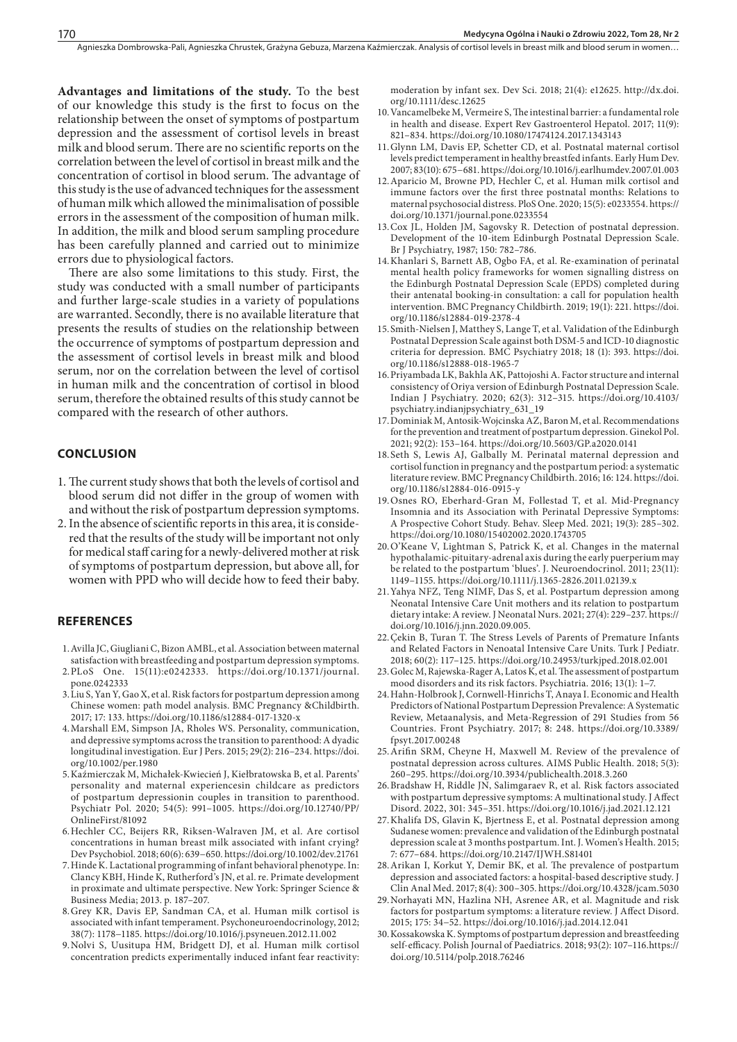**Advantages and limitations of the study.** To the best of our knowledge this study is the first to focus on the relationship between the onset of symptoms of postpartum depression and the assessment of cortisol levels in breast milk and blood serum. There are no scientific reports on the correlation between the level of cortisol in breast milk and the concentration of cortisol in blood serum. The advantage of this study is the use of advanced techniques for the assessment of human milk which allowed the minimalisation of possible errors in the assessment of the composition of human milk. In addition, the milk and blood serum sampling procedure has been carefully planned and carried out to minimize errors due to physiological factors.

There are also some limitations to this study. First, the study was conducted with a small number of participants and further large-scale studies in a variety of populations are warranted. Secondly, there is no available literature that presents the results of studies on the relationship between the occurrence of symptoms of postpartum depression and the assessment of cortisol levels in breast milk and blood serum, nor on the correlation between the level of cortisol in human milk and the concentration of cortisol in blood serum, therefore the obtained results of this study cannot be compared with the research of other authors.

#### **CONCLUSION**

- 1. The current study shows that both the levels of cortisol and blood serum did not differ in the group of women with and without the risk of postpartum depression symptoms.
- 2. In the absence of scientific reports in this area, it is considered that the results of the study will be important not only for medical staff caring for a newly-delivered mother at risk of symptoms of postpartum depression, but above all, for women with PPD who will decide how to feed their baby.

#### **REFERENCES**

- 1.Avilla JC, Giugliani C, Bizon AMBL, et al. Association between maternal satisfaction with breastfeeding and postpartum depression symptoms.
- 2.PLoS One. 15(11):e0242333. https://doi.org/10.1371/journal. pone.0242333
- 3.Liu S, Yan Y, Gao X, et al. Risk factors for postpartum depression among Chinese women: path model analysis. BMC Pregnancy &Childbirth. 2017; 17: 133. https://doi.org/10.1186/s12884-017-1320-x
- 4.Marshall EM, Simpson JA, Rholes WS. Personality, communication, and depressive symptoms across the transition to parenthood: A dyadic longitudinal investigation. Eur J Pers. 2015; 29(2): 216–234. https://doi. org/10.1002/per.1980
- 5.Kaźmierczak M, Michałek-Kwiecień J, Kiełbratowska B, et al. Parents' personality and maternal experiencesin childcare as predictors of postpartum depressionin couples in transition to parenthood. Psychiatr Pol. 2020; 54(5): 991–1005. https://doi.org/10.12740/PP/ OnlineFirst/81092
- 6.Hechler CC, Beijers RR, Riksen-Walraven JM, et al. Are cortisol concentrations in human breast milk associated with infant crying? Dev Psychobiol. 2018; 60(6): 639−650. https://doi.org/10.1002/dev.21761
- 7.Hinde K. Lactational programming of infant behavioral phenotype. In: Clancy KBH, Hinde K, Rutherford's JN, et al. re. Primate development in proximate and ultimate perspective. New York: Springer Science & Business Media; 2013. p. 187–207.
- 8.Grey KR, Davis EP, Sandman CA, et al. Human milk cortisol is associated with infant temperament. Psychoneuroendocrinology, 2012; 38(7): 1178−1185. https://doi.org/10.1016/j.psyneuen.2012.11.002
- 9.Nolvi S, Uusitupa HM, Bridgett DJ, et al. Human milk cortisol concentration predicts experimentally induced infant fear reactivity:

moderation by infant sex. Dev Sci. 2018; 21(4): e12625. http://dx.doi. org/10.1111/desc.12625

- 10.Vancamelbeke M, Vermeire S, The intestinal barrier: a fundamental role in health and disease. Expert Rev Gastroenterol Hepatol. 2017; 11(9): 821–834. https://doi.org/10.1080/17474124.2017.1343143
- 11.Glynn LM, Davis EP, Schetter CD, et al. Postnatal maternal cortisol levels predict temperament in healthy breastfed infants. Early Hum Dev. 2007; 83(10): 675−681. https://doi.org/10.1016/j.earlhumdev.2007.01.003
- 12.Aparicio M, Browne PD, Hechler C, et al. Human milk cortisol and immune factors over the first three postnatal months: Relations to maternal psychosocial distress. PloS One. 2020; 15(5): e0233554. https:// doi.org/10.1371/journal.pone.0233554
- 13.Cox JL, Holden JM, Sagovsky R. Detection of postnatal depression. Development of the 10-item Edinburgh Postnatal Depression Scale. Br J Psychiatry, 1987; 150: 782–786.
- 14.Khanlari S, Barnett AB, Ogbo FA, et al. Re-examination of perinatal mental health policy frameworks for women signalling distress on the Edinburgh Postnatal Depression Scale (EPDS) completed during their antenatal booking-in consultation: a call for population health intervention. BMC Pregnancy Childbirth. 2019; 19(1): 221. https://doi. org/10.1186/s12884-019-2378-4
- 15.Smith-Nielsen J, Matthey S, Lange T, et al. Validation of the Edinburgh Postnatal Depression Scale against both DSM-5 and ICD-10 diagnostic criteria for depression. BMC Psychiatry 2018; 18 (1): 393. https://doi. org/10.1186/s12888-018-1965-7
- 16.Priyambada LK, Bakhla AK, Pattojoshi A. Factor structure and internal consistency of Oriya version of Edinburgh Postnatal Depression Scale. Indian J Psychiatry. 2020; 62(3): 312–315. https://doi.org/10.4103/ psychiatry.indianjpsychiatry\_631\_19
- 17.Dominiak M, Antosik-Wojcinska AZ, Baron M, et al. Recommendations for the prevention and treatment of postpartum depression. Ginekol Pol. 2021; 92(2): 153–164. https://doi.org/10.5603/GP.a2020.0141
- 18.Seth S, Lewis AJ, Galbally M. Perinatal maternal depression and cortisol function in pregnancy and the postpartum period: a systematic literature review. BMC Pregnancy Childbirth. 2016; 16: 124. https://doi. org/10.1186/s12884-016-0915-y
- 19.Osnes RO, Eberhard-Gran M, Follestad T, et al. Mid-Pregnancy Insomnia and its Association with Perinatal Depressive Symptoms: A Prospective Cohort Study. Behav. Sleep Med. 2021; 19(3): 285–302. https://doi.org/10.1080/15402002.2020.1743705
- 20.O'Keane V, Lightman S, Patrick K, et al. Changes in the maternal hypothalamic-pituitary-adrenal axis during the early puerperium may be related to the postpartum 'blues'. J. Neuroendocrinol. 2011; 23(11): 1149–1155. https://doi.org/10.1111/j.1365-2826.2011.02139.x
- 21.Yahya NFZ, Teng NIMF, Das S, et al. Postpartum depression among Neonatal Intensive Care Unit mothers and its relation to postpartum dietary intake: A review. J Neonatal Nurs. 2021; 27(4): 229–237. https:// doi.org/10.1016/j.jnn.2020.09.005.
- 22.Çekin B, Turan T. The Stress Levels of Parents of Premature Infants and Related Factors in Nenoatal Intensive Care Units. Turk J Pediatr. 2018; 60(2): 117–125. https://doi.org/10.24953/turkjped.2018.02.001
- 23.Golec M, Rajewska-Rager A, Latos K, et al. The assessment of postpartum mood disorders and its risk factors. Psychiatria. 2016; 13(1): 1−7.
- 24.Hahn-Holbrook J, Cornwell-Hinrichs T, Anaya I. Economic and Health Predictors of National Postpartum Depression Prevalence: A Systematic Review, Metaanalysis, and Meta-Regression of 291 Studies from 56 Countries. Front Psychiatry. 2017; 8: 248. https://doi.org/10.3389/ fpsyt.2017.00248
- 25.Arifin SRM, Cheyne H, Maxwell M. Review of the prevalence of postnatal depression across cultures. AIMS Public Health. 2018; 5(3): 260–295. https://doi.org/10.3934/publichealth.2018.3.260
- 26.Bradshaw H, Riddle JN, Salimgaraev R, et al. Risk factors associated with postpartum depressive symptoms: A multinational study. J Affect Disord. 2022, 301: 345–351. https://doi.org/10.1016/j.jad.2021.12.121
- 27.Khalifa DS, Glavin K, Bjertness E, et al. Postnatal depression among Sudanese women: prevalence and validation of the Edinburgh postnatal depression scale at 3 months postpartum. Int. J. Women's Health. 2015; 7: 677–684. https://doi.org/10.2147/IJWH.S81401
- 28.Arikan I, Korkut Y, Demir BK, et al. The prevalence of postpartum depression and associated factors: a hospital-based descriptive study. J Clin Anal Med. 2017; 8(4): 300–305. https://doi.org/10.4328/jcam.5030
- 29.Norhayati MN, Hazlina NH, Asrenee AR, et al. Magnitude and risk factors for postpartum symptoms: a literature review. J Affect Disord. 2015; 175: 34−52. https://doi.org/10.1016/j.jad.2014.12.041
- 30.Kossakowska K. Symptoms of postpartum depression and breastfeeding self-efficacy. Polish Journal of Paediatrics. 2018; 93(2): 107–116.https:// doi.org/10.5114/polp.2018.76246